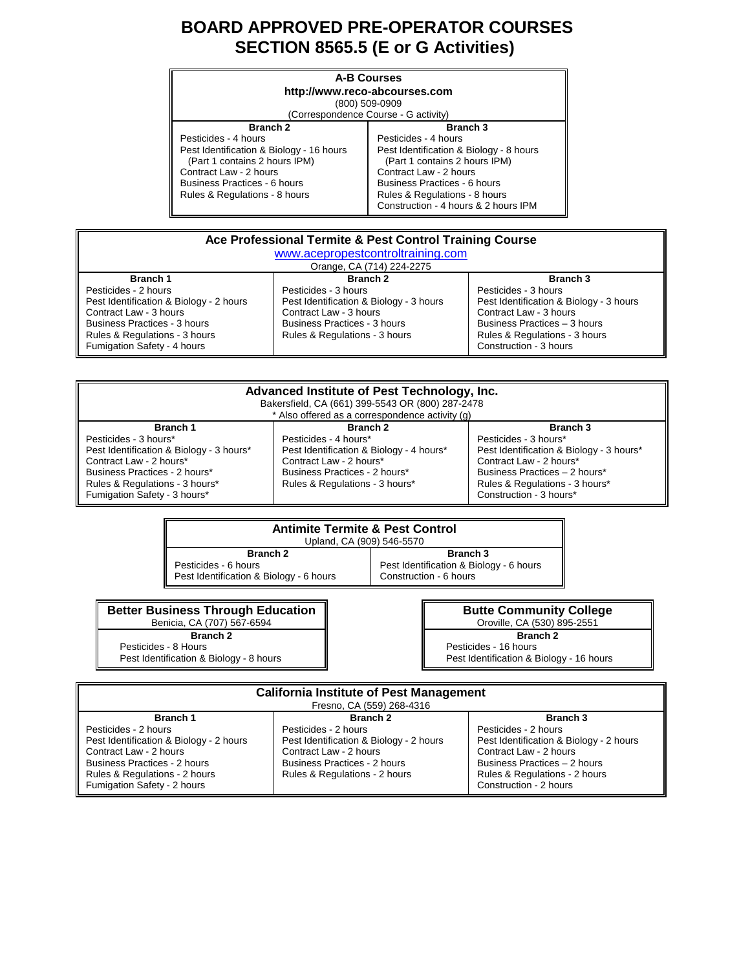# **BOARD APPROVED PRE-OPERATOR COURSES SECTION 8565.5 (E or G Activities)**

| <b>A-B Courses</b><br>http://www.reco-abcourses.com<br>(800) 509-0909<br>(Correspondence Course - G activity)                                                                                                          |                                                                                                                                                                                                                                                        |
|------------------------------------------------------------------------------------------------------------------------------------------------------------------------------------------------------------------------|--------------------------------------------------------------------------------------------------------------------------------------------------------------------------------------------------------------------------------------------------------|
| <b>Branch 2</b><br>Pesticides - 4 hours<br>Pest Identification & Biology - 16 hours<br>(Part 1 contains 2 hours IPM)<br>Contract Law - 2 hours<br><b>Business Practices - 6 hours</b><br>Rules & Regulations - 8 hours | <b>Branch 3</b><br>Pesticides - 4 hours<br>Pest Identification & Biology - 8 hours<br>(Part 1 contains 2 hours IPM)<br>Contract Law - 2 hours<br>Business Practices - 6 hours<br>Rules & Regulations - 8 hours<br>Construction - 4 hours & 2 hours IPM |

| Ace Professional Termite & Pest Control Training Course        |                                         |                                                         |
|----------------------------------------------------------------|-----------------------------------------|---------------------------------------------------------|
| www.acepropestcontroltraining.com<br>Orange, CA (714) 224-2275 |                                         |                                                         |
| <b>Branch 1</b>                                                | Branch <sub>2</sub>                     | Branch 3                                                |
| Pesticides - 2 hours                                           | Pesticides - 3 hours                    | Pesticides - 3 hours                                    |
| Pest Identification & Biology - 2 hours                        | Pest Identification & Biology - 3 hours | Pest Identification & Biology - 3 hours                 |
| Contract Law - 3 hours                                         | Contract Law - 3 hours                  | Contract Law - 3 hours                                  |
| <b>Business Practices - 3 hours</b>                            | <b>Business Practices - 3 hours</b>     | Business Practices - 3 hours                            |
| Rules & Regulations - 3 hours<br>Fumigation Safety - 4 hours   | Rules & Regulations - 3 hours           | Rules & Regulations - 3 hours<br>Construction - 3 hours |

| Advanced Institute of Pest Technology, Inc.<br>Bakersfield, CA (661) 399-5543 OR (800) 287-2478<br>* Also offered as a correspondence activity (q)                          |                                                                                                                                                                                        |                                                                                                                                                                             |
|-----------------------------------------------------------------------------------------------------------------------------------------------------------------------------|----------------------------------------------------------------------------------------------------------------------------------------------------------------------------------------|-----------------------------------------------------------------------------------------------------------------------------------------------------------------------------|
| Branch 1<br>Pesticides - 3 hours*<br>Pest Identification & Biology - 3 hours*<br>Contract Law - 2 hours*<br>Business Practices - 2 hours*<br>Rules & Regulations - 3 hours* | Branch <sub>2</sub><br>Pesticides - 4 hours*<br>Pest Identification & Biology - 4 hours*<br>Contract Law - 2 hours*<br>Business Practices - 2 hours*<br>Rules & Regulations - 3 hours* | Branch 3<br>Pesticides - 3 hours*<br>Pest Identification & Biology - 3 hours*<br>Contract Law - 2 hours*<br>Business Practices - 2 hours*<br>Rules & Regulations - 3 hours* |
| Fumigation Safety - 3 hours*                                                                                                                                                |                                                                                                                                                                                        | Construction - 3 hours*                                                                                                                                                     |

| <b>Antimite Termite &amp; Pest Control</b> |                                         |  |
|--------------------------------------------|-----------------------------------------|--|
| Upland, CA (909) 546-5570                  |                                         |  |
| <b>Branch 2</b>                            | <b>Branch 3</b>                         |  |
| Pesticides - 6 hours                       | Pest Identification & Biology - 6 hours |  |
| Pest Identification & Biology - 6 hours    | Construction - 6 hours                  |  |

| <b>Better Business Through Education</b> |  |  |  |
|------------------------------------------|--|--|--|
| Benicia, CA (707) 567-6594               |  |  |  |
| <b>Branch 2</b>                          |  |  |  |
| Docticidos & Hours                       |  |  |  |

 Pesticides - 8 Hours Pest Identification & Biology - 8 hours

**Butte Community College** Oroville, CA (530) 895-2551 **Branch 2** Pesticides - 16 hours Pest Identification & Biology - 16 hours

| <b>California Institute of Pest Management</b><br>Fresno, CA (559) 268-4316                                                                                                               |                                                                                                                                                                   |                                                                                                                                                                                      |
|-------------------------------------------------------------------------------------------------------------------------------------------------------------------------------------------|-------------------------------------------------------------------------------------------------------------------------------------------------------------------|--------------------------------------------------------------------------------------------------------------------------------------------------------------------------------------|
| Branch 1                                                                                                                                                                                  | Branch <sub>2</sub>                                                                                                                                               | <b>Branch 3</b>                                                                                                                                                                      |
| Pesticides - 2 hours<br>Pest Identification & Biology - 2 hours<br>Contract Law - 2 hours<br>Business Practices - 2 hours<br>Rules & Regulations - 2 hours<br>Fumigation Safety - 2 hours | Pesticides - 2 hours<br>Pest Identification & Biology - 2 hours<br>Contract Law - 2 hours<br><b>Business Practices - 2 hours</b><br>Rules & Regulations - 2 hours | Pesticides - 2 hours<br>Pest Identification & Biology - 2 hours<br>Contract Law - 2 hours<br>Business Practices - 2 hours<br>Rules & Regulations - 2 hours<br>Construction - 2 hours |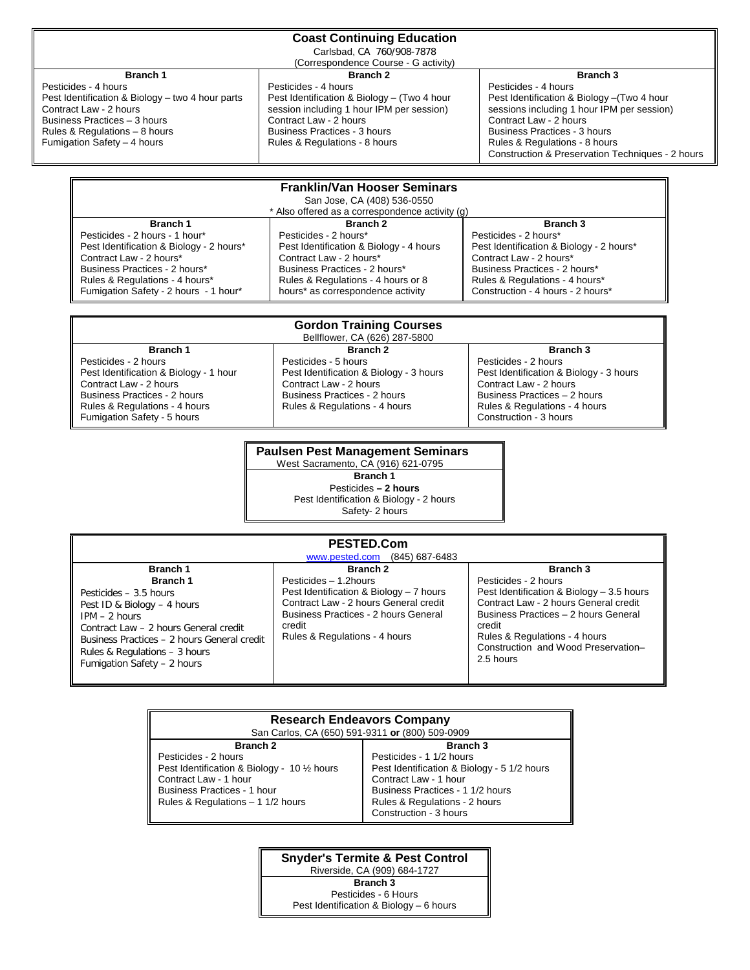### **Coast Continuing Education**

Carlsbad, CA 760/908-7878

(Correspondence Course - G activity)

# **Branch 1**

Pesticides - 4 hours Pest Identification & Biology – two 4 hour parts Contract Law - 2 hours Business Practices – 3 hours Rules & Regulations – 8 hours Fumigation Safety – 4 hours

Fumigation Safety - 2 hours - 1 hour\*

# **Branch 2**

Pesticides - 4 hours Pest Identification & Biology – (Two 4 hour session including 1 hour IPM per session) Contract Law - 2 hours Business Practices - 3 hours Rules & Regulations - 8 hours

#### **Branch 3**

Pesticides - 4 hours Pest Identification & Biology –(Two 4 hour sessions including 1 hour IPM per session) Contract Law - 2 hours Business Practices - 3 hours Rules & Regulations - 8 hours Construction & Preservation Techniques - 2 hours

Construction - 4 hours - 2 hours\*

| <b>Franklin/Van Hooser Seminars</b><br>San Jose, CA (408) 536-0550 |                                         |                                          |
|--------------------------------------------------------------------|-----------------------------------------|------------------------------------------|
| * Also offered as a correspondence activity (q)                    |                                         |                                          |
| Branch 1                                                           | <b>Branch 2</b>                         | Branch 3                                 |
| Pesticides - 2 hours - 1 hour*                                     | Pesticides - 2 hours*                   | Pesticides - 2 hours*                    |
| Pest Identification & Biology - 2 hours*                           | Pest Identification & Biology - 4 hours | Pest Identification & Biology - 2 hours* |
| Contract Law - 2 hours*                                            | Contract Law - 2 hours*                 | Contract Law - 2 hours*                  |
| Business Practices - 2 hours*                                      | Business Practices - 2 hours*           | Business Practices - 2 hours*            |
| Rules & Regulations - 4 hours*                                     | Rules & Regulations - 4 hours or 8      | Rules & Regulations - 4 hours*           |

hours\* as correspondence activity

| <b>Gordon Training Courses</b><br>Bellflower, CA (626) 287-5800                                                                                                                          |                                                                                                                                                            |                                                                                                                                                                                      |  |
|------------------------------------------------------------------------------------------------------------------------------------------------------------------------------------------|------------------------------------------------------------------------------------------------------------------------------------------------------------|--------------------------------------------------------------------------------------------------------------------------------------------------------------------------------------|--|
| Branch 1                                                                                                                                                                                 | Branch <sub>2</sub>                                                                                                                                        | Branch 3                                                                                                                                                                             |  |
| Pesticides - 2 hours<br>Pest Identification & Biology - 1 hour<br>Contract Law - 2 hours<br>Business Practices - 2 hours<br>Rules & Regulations - 4 hours<br>Fumigation Safety - 5 hours | Pesticides - 5 hours<br>Pest Identification & Biology - 3 hours<br>Contract Law - 2 hours<br>Business Practices - 2 hours<br>Rules & Regulations - 4 hours | Pesticides - 2 hours<br>Pest Identification & Biology - 3 hours<br>Contract Law - 2 hours<br>Business Practices - 2 hours<br>Rules & Regulations - 4 hours<br>Construction - 3 hours |  |

### **Paulsen Pest Management Seminars**

West Sacramento, CA (916) 621-0795 **Branch 1** Pesticides **– 2 hours** Pest Identification & Biology - 2 hours Safety- 2 hours

| PESTED.Com<br>www.pested.com (845) 687-6483                                                                                                                                                                               |                                                                                                                                                                                                                      |                                                                                                                                                                                                                                                                      |  |
|---------------------------------------------------------------------------------------------------------------------------------------------------------------------------------------------------------------------------|----------------------------------------------------------------------------------------------------------------------------------------------------------------------------------------------------------------------|----------------------------------------------------------------------------------------------------------------------------------------------------------------------------------------------------------------------------------------------------------------------|--|
| Branch 1<br>Branch 1<br>Pesticides – 3.5 hours<br>Pest ID & Biology - 4 hours<br>$IPM - 2 hours$<br>Contract Law - 2 hours General credit<br>Business Practices - 2 hours General credit<br>Rules & Regulations - 3 hours | Branch <sub>2</sub><br>Pesticides - 1.2 hours<br>Pest Identification & Biology - 7 hours<br>Contract Law - 2 hours General credit<br>Business Practices - 2 hours General<br>credit<br>Rules & Regulations - 4 hours | <b>Branch 3</b><br>Pesticides - 2 hours<br>Pest Identification & Biology - 3.5 hours<br>Contract Law - 2 hours General credit<br>Business Practices - 2 hours General<br>credit<br>Rules & Regulations - 4 hours<br>Construction and Wood Preservation-<br>2.5 hours |  |

| <b>Research Endeavors Company</b>                                                                                                                                        |                                                                                                                                                                                                 |  |
|--------------------------------------------------------------------------------------------------------------------------------------------------------------------------|-------------------------------------------------------------------------------------------------------------------------------------------------------------------------------------------------|--|
| San Carlos, CA (650) 591-9311 or (800) 509-0909                                                                                                                          |                                                                                                                                                                                                 |  |
| <b>Branch 2</b>                                                                                                                                                          | Branch <sub>3</sub>                                                                                                                                                                             |  |
| Pesticides - 2 hours<br>Pest Identification & Biology - 10 1/2 hours<br>Contract Law - 1 hour<br><b>Business Practices - 1 hour</b><br>Rules & Regulations - 1 1/2 hours | Pesticides - 1 1/2 hours<br>Pest Identification & Biology - 5 1/2 hours<br>Contract Law - 1 hour<br>Business Practices - 1 1/2 hours<br>Rules & Regulations - 2 hours<br>Construction - 3 hours |  |